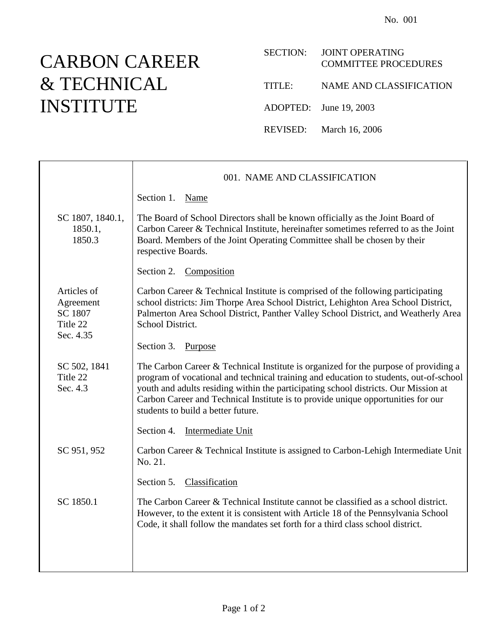## CARBON CAREER & TECHNICAL INSTITUTE

| <b>SECTION:</b> | <b>JOINT OPERATING</b><br><b>COMMITTEE PROCEDURES</b> |
|-----------------|-------------------------------------------------------|
| TITLE:          | NAME AND CLASSIFICATION                               |
|                 | ADOPTED: June 19, 2003                                |
|                 | REVISED: March 16, 2006                               |

|                                                              | 001. NAME AND CLASSIFICATION                                                                                                                                                                                                                                                                                                                                                                  |
|--------------------------------------------------------------|-----------------------------------------------------------------------------------------------------------------------------------------------------------------------------------------------------------------------------------------------------------------------------------------------------------------------------------------------------------------------------------------------|
|                                                              | Section 1.<br>Name                                                                                                                                                                                                                                                                                                                                                                            |
| SC 1807, 1840.1,<br>1850.1,<br>1850.3                        | The Board of School Directors shall be known officially as the Joint Board of<br>Carbon Career & Technical Institute, hereinafter sometimes referred to as the Joint<br>Board. Members of the Joint Operating Committee shall be chosen by their<br>respective Boards.                                                                                                                        |
|                                                              | Section 2.<br>Composition                                                                                                                                                                                                                                                                                                                                                                     |
| Articles of<br>Agreement<br>SC 1807<br>Title 22<br>Sec. 4.35 | Carbon Career & Technical Institute is comprised of the following participating<br>school districts: Jim Thorpe Area School District, Lehighton Area School District,<br>Palmerton Area School District, Panther Valley School District, and Weatherly Area<br>School District.                                                                                                               |
|                                                              | Section 3.<br>Purpose                                                                                                                                                                                                                                                                                                                                                                         |
| SC 502, 1841<br>Title 22<br>Sec. 4.3                         | The Carbon Career & Technical Institute is organized for the purpose of providing a<br>program of vocational and technical training and education to students, out-of-school<br>youth and adults residing within the participating school districts. Our Mission at<br>Carbon Career and Technical Institute is to provide unique opportunities for our<br>students to build a better future. |
|                                                              | Section 4.<br>Intermediate Unit                                                                                                                                                                                                                                                                                                                                                               |
| SC 951, 952                                                  | Carbon Career & Technical Institute is assigned to Carbon-Lehigh Intermediate Unit<br>No. 21.                                                                                                                                                                                                                                                                                                 |
|                                                              | Classification<br>Section 5.                                                                                                                                                                                                                                                                                                                                                                  |
| SC 1850.1                                                    | The Carbon Career & Technical Institute cannot be classified as a school district.<br>However, to the extent it is consistent with Article 18 of the Pennsylvania School<br>Code, it shall follow the mandates set forth for a third class school district.                                                                                                                                   |
|                                                              |                                                                                                                                                                                                                                                                                                                                                                                               |